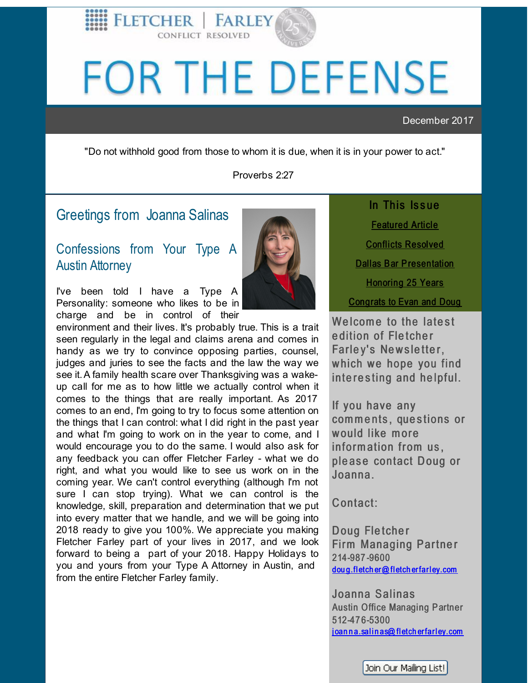

# <span id="page-0-0"></span>FOR THE DEFENSE

December 2017

"Do not withhold good from those to whom it is due, when it is in your power to act."

Proverbs 2:27

## Greetings from Joanna [Salinas](http://r20.rs6.net/tn.jsp?f=001-Otiu6Me6IlnSpCtNui7NCLKB3G17y22YdulX3j_ffY97Iq_5vjJQgKc5Su_jNSk-sbbPUX89wkX4pr-hP_uELMNUlY9US-kfrskN4gNxYqk0EYAUukvVQwjbb30ucE56IgjpBE_MfVgdk-YpatrsZjWRZcel7c43I3fvt_4-QRv2o2VjNtnDLr8kcRjwceabW0whjDWmuQ=&c=&ch=)

FLETCHER<sup>1</sup>

CONFLICT RESOLVED

## Confessions from Your Type A Austin Attorney

I've been told I have a Type A Personality: someone who likes to be in charge and be in control of their

environment and their lives. It's probably true. This is a trait seen regularly in the legal and claims arena and comes in handy as we try to convince opposing parties, counsel, judges and juries to see the facts and the law the way we see it.A family health scare over Thanksgiving was a wakeup call for me as to how little we actually control when it comes to the things that are really important. As 2017 comes to an end, I'm going to try to focus some attention on the things that I can control: what I did right in the past year and what I'm going to work on in the year to come, and I would encourage you to do the same. I would also ask for any feedback you can offer Fletcher Farley - what we do right, and what you would like to see us work on in the coming year. We can't control everything (although I'm not sure I can stop trying). What we can control is the knowledge, skill, preparation and determination that we put into every matter that we handle, and we will be going into 2018 ready to give you 100%. We appreciate you making Fletcher Farley part of your lives in 2017, and we look forward to being a part of your 2018. Happy Holidays to you and yours from your Type A Attorney in Austin, and from the entire Fletcher Farley family.

In This Issue [Featured](#page-0-0) Article Conflicts [Resolved](#page-0-0) Dallas Bar [Presentation](#page-0-0) **[Honoring](#page-0-0) 25 Years** [Congrats](#page-0-0) to Evan and Doug

Welcome to the latest edition of Fletcher Farley's Newsletter, which we hope you find interesting and helpful.

If you have any comments, questions or would like more information from us. please contact Doug or Joanna.

Contact:

Doug Fletcher Firm Managing Partner 214-987 -9600 dou g.fl etch er@ fl etch erfarl [ey.com](mailto:doug.fletcher@fletcherfarley.com)

Joanna Salinas Austin Office Managing Partner 512-47 6-5300 joan n a.sal in as@ fletch erfarl[ey.com](mailto:joanna.salinas@fletcherfarley.com)

Join Our Mailing List!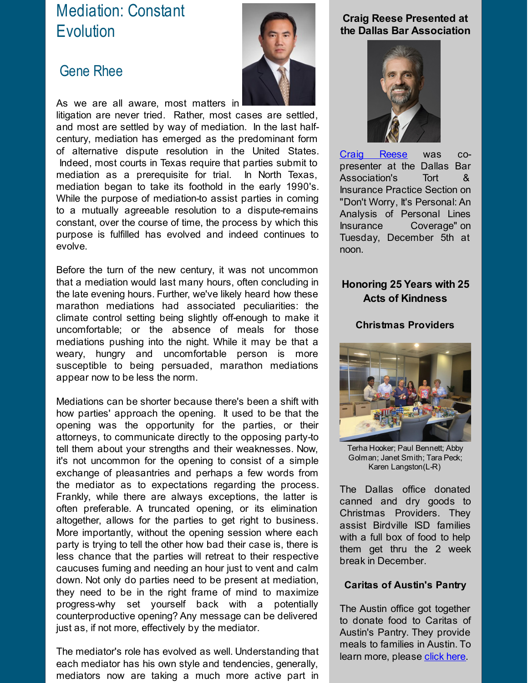# Mediation: Constant **Evolution**

## [Gene](http://r20.rs6.net/tn.jsp?f=001-Otiu6Me6IlnSpCtNui7NCLKB3G17y22YdulX3j_ffY97Iq_5vjJQj3LgDI_BVYKCuzpHtkFDEEHcIQo1ESF2X0229xeawWPczL-iEWSTfGeDpCtt9N-mqBI-2x6kvNjVtofACRIM5dmC4pg78APDur1fM1L2SvMwstMPVbEp6aJ6KTjKW-zaSkWhN7T4USgWMB_Ugtyi7Y=&c=&ch=) Rhee



As we are all aware, most matters in litigation are never tried. Rather, most cases are settled, and most are settled by way of mediation. In the last halfcentury, mediation has emerged as the predominant form of alternative dispute resolution in the United States. Indeed, most courts in Texas require that parties submit to mediation as a prerequisite for trial. In North Texas, mediation began to take its foothold in the early 1990's. While the purpose of mediation-to assist parties in coming to a mutually agreeable resolution to a dispute-remains constant, over the course of time, the process by which this purpose is fulfilled has evolved and indeed continues to evolve.

Before the turn of the new century, it was not uncommon that a mediation would last many hours, often concluding in the late evening hours. Further, we've likely heard how these marathon mediations had associated peculiarities: the climate control setting being slightly off-enough to make it uncomfortable; or the absence of meals for those mediations pushing into the night. While it may be that a weary, hungry and uncomfortable person is more susceptible to being persuaded, marathon mediations appear now to be less the norm.

Mediations can be shorter because there's been a shift with how parties' approach the opening. It used to be that the opening was the opportunity for the parties, or their attorneys, to communicate directly to the opposing party-to tell them about your strengths and their weaknesses. Now, it's not uncommon for the opening to consist of a simple exchange of pleasantries and perhaps a few words from the mediator as to expectations regarding the process. Frankly, while there are always exceptions, the latter is often preferable. A truncated opening, or its elimination altogether, allows for the parties to get right to business. More importantly, without the opening session where each party is trying to tell the other how bad their case is, there is less chance that the parties will retreat to their respective caucuses fuming and needing an hour just to vent and calm down. Not only do parties need to be present at mediation, they need to be in the right frame of mind to maximize progress-why set yourself back with a potentially counterproductive opening? Any message can be delivered just as, if not more, effectively by the mediator.

The mediator's role has evolved as well. Understanding that each mediator has his own style and tendencies, generally, mediators now are taking a much more active part in

## **Craig Reese Presented at the Dallas Bar Association**



Craig [Reese](http://r20.rs6.net/tn.jsp?f=001-Otiu6Me6IlnSpCtNui7NCLKB3G17y22YdulX3j_ffY97Iq_5vjJQglTrXBD-J2I6Z_fvXf9jK8rkt_kSpu3cFG0eQo3FjLF_hbSZHL4bEpD-XnoIPthH95dQZHVKv-5Bc5kplLF1TMJu_DI601c6yS2WIWdqguXLwp6mc0Uaegf8ilPMRMfIEIEft3Y5Z0ynWX54Ai8KsA=&c=&ch=) was copresenter at the Dallas Bar Association's Tort & Insurance Practice Section on "Don't Worry, It's Personal: An Analysis of Personal Lines Insurance Coverage" on Tuesday, December 5th at noon.

## **Honoring 25 Years with 25 Acts of Kindness**

#### **Christmas Providers**



Terha Hooker; Paul Bennett; Abby Golman; Janet Smith; Tara Peck; Karen Langston(L-R)

The Dallas office donated canned and dry goods to Christmas Providers. They assist Birdville ISD families with a full box of food to help them get thru the 2 week break in December.

#### **Caritas of Austin's Pantry**

The Austin office got together to donate food to Caritas of Austin's Pantry. They provide meals to families in Austin. To learn more, please [click](http://r20.rs6.net/tn.jsp?f=001-Otiu6Me6IlnSpCtNui7NCLKB3G17y22YdulX3j_ffY97Iq_5vjJQj3LgDI_BVYK-PRoyrEUHYciAqQSl2uZAOlvxntOi5WRiOJsPw4_EByLXlahgRf962rMOwgnqCAdCbUnUYalCyZK4hKKrkFoPSPn5hbMW_PMlJWMHlTYorZpBAvZpNdsO9H4Kp6IXyftpG360W91NaPFzDMpzVVkFLQjFElOe7KaN47sGzC8HGM=&c=&ch=) here.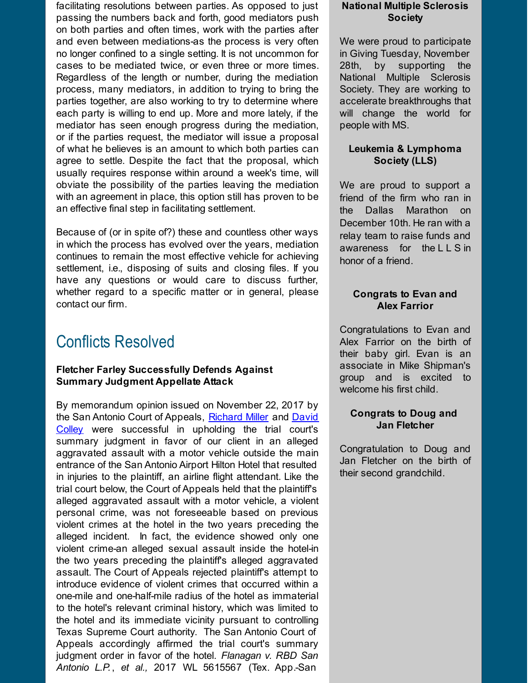facilitating resolutions between parties. As opposed to just passing the numbers back and forth, good mediators push on both parties and often times, work with the parties after and even between mediations-as the process is very often no longer confined to a single setting. It is not uncommon for cases to be mediated twice, or even three or more times. Regardless of the length or number, during the mediation process, many mediators, in addition to trying to bring the parties together, are also working to try to determine where each party is willing to end up. More and more lately, if the mediator has seen enough progress during the mediation, or if the parties request, the mediator will issue a proposal of what he believes is an amount to which both parties can agree to settle. Despite the fact that the proposal, which usually requires response within around a week's time, will obviate the possibility of the parties leaving the mediation with an agreement in place, this option still has proven to be an effective final step in facilitating settlement.

Because of (or in spite of?) these and countless other ways in which the process has evolved over the years, mediation continues to remain the most effective vehicle for achieving settlement, i.e., disposing of suits and closing files. If you have any questions or would care to discuss further, whether regard to a specific matter or in general, please contact our firm.

## Conflicts Resolved

#### **Fletcher Farley Successfully Defends Against Summary Judgment Appellate Attack**

By memorandum opinion issued on November 22, 2017 by the San Antonio Court of Appeals, [Richard](http://r20.rs6.net/tn.jsp?f=001-Otiu6Me6IlnSpCtNui7NCLKB3G17y22YdulX3j_ffY97Iq_5vjJQj3LgDI_BVYKWGbpzQ5o_ooUWYOizviuszMzJNV36OC5ZJxsRpYwuGAhpdqgfftD6PUlqpO4HKr1lH-AfK0MI2qausE3XklIGtmMWVrHxUXnne1CwOYf0fch1CgylL60gF_NnrY5Hz0NOrk3NvAOKZE=&c=&ch=) Miller and David Colley were [successful](http://r20.rs6.net/tn.jsp?f=001-Otiu6Me6IlnSpCtNui7NCLKB3G17y22YdulX3j_ffY97Iq_5vjJQuXIgBW8zeTWKZuWBmf3cUqCJufFWyo-RvQVmnx18AARL8ESvgjQkcGGym4hqCgxrAKXbU8swCSrIEkIzQx7bHQIbXYRvpNosNczyAOF6O8EdGXitGx3AWFyZmDzJmzmsfdYvnVp3MGnwAHPSlEyEuU=&c=&ch=) in upholding the trial court's summary judgment in favor of our client in an alleged aggravated assault with a motor vehicle outside the main entrance of the San Antonio Airport Hilton Hotel that resulted in injuries to the plaintiff, an airline flight attendant. Like the trial court below, the Court of Appeals held that the plaintiff's alleged aggravated assault with a motor vehicle, a violent personal crime, was not foreseeable based on previous violent crimes at the hotel in the two years preceding the alleged incident. In fact, the evidence showed only one violent crime-an alleged sexual assault inside the hotel-in the two years preceding the plaintiff's alleged aggravated assault. The Court of Appeals rejected plaintiff's attempt to introduce evidence of violent crimes that occurred within a one-mile and one-half-mile radius of the hotel as immaterial to the hotel's relevant criminal history, which was limited to the hotel and its immediate vicinity pursuant to controlling Texas Supreme Court authority. The San Antonio Court of Appeals accordingly affirmed the trial court's summary judgment order in favor of the hotel. *Flanagan v. RBD San Antonio L.P.*, *et al.,* 2017 WL 5615567 (Tex. App.-San

#### **National Multiple Sclerosis Society**

We were proud to participate in Giving Tuesday, November 28th, by supporting the National Multiple Sclerosis Society. They are working to accelerate breakthroughs that will change the world for people with MS.

#### **Leukemia & Lymphoma Society (LLS)**

We are proud to support a friend of the firm who ran in the Dallas Marathon on December 10th. He ran with a relay team to raise funds and awareness for the L L S in honor of a friend.

#### **Congrats to Evan and Alex Farrior**

Congratulations to Evan and Alex Farrior on the birth of their baby girl. Evan is an associate in Mike Shipman's group and is excited to welcome his first child.

#### **Congrats to Doug and Jan Fletcher**

Congratulation to Doug and Jan Fletcher on the birth of their second grandchild.